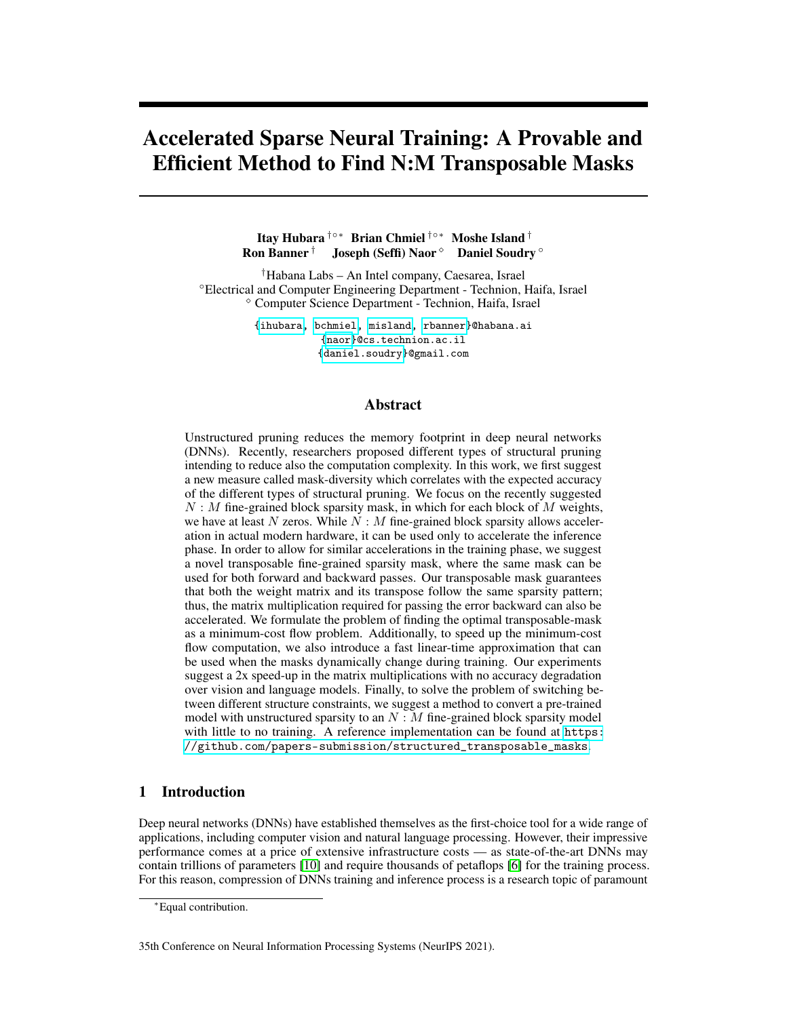# Accelerated Sparse Neural Training: A Provable and Efficient Method to Find N:M Transposable Masks

Itay Hubara †◦∗ Brian Chmiel †◦∗ Moshe Island † Ron Banner † Joseph (Seffi) Naor <sup>◇</sup> Daniel Soudry <sup>○</sup>

†Habana Labs – An Intel company, Caesarea, Israel ◦Electrical and Computer Engineering Department - Technion, Haifa, Israel Computer Science Department - Technion, Haifa, Israel

> [{ihubara,](mailto:ihubara @habana.ai) [bchmiel,](mailto:bchmiel@habana.ai) [misland,](mailto:misland@habana.ai) [rbanner}](mailto:rbanner@habana.ai)@habana.ai [{naor}](mailto:naor@cs.technion.ac.il)@cs.technion.ac.il [{daniel.soudry}](mailto:daniel.soudry@gmail.com)@gmail.com

#### Abstract

Unstructured pruning reduces the memory footprint in deep neural networks (DNNs). Recently, researchers proposed different types of structural pruning intending to reduce also the computation complexity. In this work, we first suggest a new measure called mask-diversity which correlates with the expected accuracy of the different types of structural pruning. We focus on the recently suggested  $N : M$  fine-grained block sparsity mask, in which for each block of M weights, we have at least  $N$  zeros. While  $N : M$  fine-grained block sparsity allows acceleration in actual modern hardware, it can be used only to accelerate the inference phase. In order to allow for similar accelerations in the training phase, we suggest a novel transposable fine-grained sparsity mask, where the same mask can be used for both forward and backward passes. Our transposable mask guarantees that both the weight matrix and its transpose follow the same sparsity pattern; thus, the matrix multiplication required for passing the error backward can also be accelerated. We formulate the problem of finding the optimal transposable-mask as a minimum-cost flow problem. Additionally, to speed up the minimum-cost flow computation, we also introduce a fast linear-time approximation that can be used when the masks dynamically change during training. Our experiments suggest a 2x speed-up in the matrix multiplications with no accuracy degradation over vision and language models. Finally, to solve the problem of switching between different structure constraints, we suggest a method to convert a pre-trained model with unstructured sparsity to an  $N : M$  fine-grained block sparsity model with little to no training. A reference implementation can be found at [https:](https://github.com/papers-submission/structured_transposable_masks) [//github.com/papers-submission/structured\\_transposable\\_masks](https://github.com/papers-submission/structured_transposable_masks).

# 1 Introduction

Deep neural networks (DNNs) have established themselves as the first-choice tool for a wide range of applications, including computer vision and natural language processing. However, their impressive performance comes at a price of extensive infrastructure costs — as state-of-the-art DNNs may contain trillions of parameters [\[10\]](#page-9-0) and require thousands of petaflops [\[6\]](#page-9-1) for the training process. For this reason, compression of DNNs training and inference process is a research topic of paramount

35th Conference on Neural Information Processing Systems (NeurIPS 2021).

<sup>∗</sup>Equal contribution.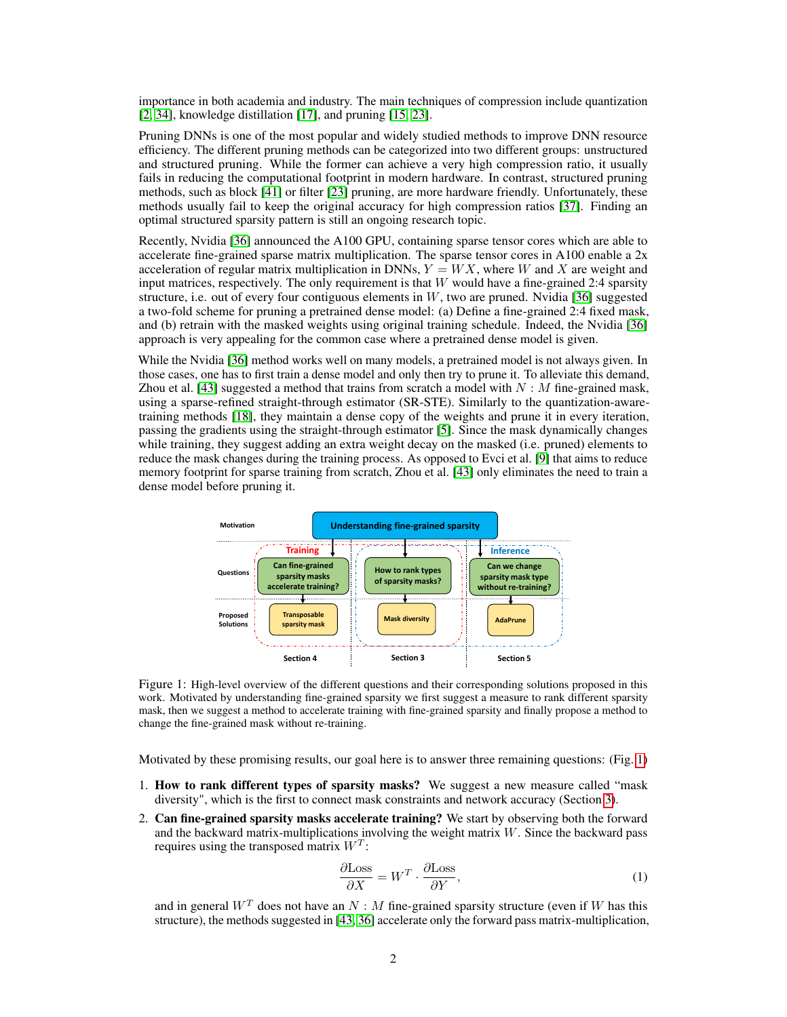importance in both academia and industry. The main techniques of compression include quantization [\[2,](#page-9-2) [34\]](#page-11-0), knowledge distillation [\[17\]](#page-10-0), and pruning [\[15,](#page-10-1) [23\]](#page-10-2).

Pruning DNNs is one of the most popular and widely studied methods to improve DNN resource efficiency. The different pruning methods can be categorized into two different groups: unstructured and structured pruning. While the former can achieve a very high compression ratio, it usually fails in reducing the computational footprint in modern hardware. In contrast, structured pruning methods, such as block [\[41\]](#page-11-1) or filter [\[23\]](#page-10-2) pruning, are more hardware friendly. Unfortunately, these methods usually fail to keep the original accuracy for high compression ratios [\[37\]](#page-11-2). Finding an optimal structured sparsity pattern is still an ongoing research topic.

Recently, Nvidia [\[36\]](#page-11-3) announced the A100 GPU, containing sparse tensor cores which are able to accelerate fine-grained sparse matrix multiplication. The sparse tensor cores in A100 enable a 2x acceleration of regular matrix multiplication in DNNs,  $Y = W X$ , where W and X are weight and input matrices, respectively. The only requirement is that W would have a fine-grained 2:4 sparsity structure, i.e. out of every four contiguous elements in  $W$ , two are pruned. Nvidia [\[36\]](#page-11-3) suggested a two-fold scheme for pruning a pretrained dense model: (a) Define a fine-grained 2:4 fixed mask, and (b) retrain with the masked weights using original training schedule. Indeed, the Nvidia [\[36\]](#page-11-3) approach is very appealing for the common case where a pretrained dense model is given.

While the Nvidia [\[36\]](#page-11-3) method works well on many models, a pretrained model is not always given. In those cases, one has to first train a dense model and only then try to prune it. To alleviate this demand, Zhou et al. [\[43\]](#page-11-4) suggested a method that trains from scratch a model with  $N : M$  fine-grained mask, using a sparse-refined straight-through estimator (SR-STE). Similarly to the quantization-awaretraining methods [\[18\]](#page-10-3), they maintain a dense copy of the weights and prune it in every iteration, passing the gradients using the straight-through estimator [\[5\]](#page-9-3). Since the mask dynamically changes while training, they suggest adding an extra weight decay on the masked (i.e. pruned) elements to reduce the mask changes during the training process. As opposed to Evci et al. [\[9\]](#page-9-4) that aims to reduce memory footprint for sparse training from scratch, Zhou et al. [\[43\]](#page-11-4) only eliminates the need to train a dense model before pruning it.

<span id="page-1-0"></span>

Figure 1: High-level overview of the different questions and their corresponding solutions proposed in this work. Motivated by understanding fine-grained sparsity we first suggest a measure to rank different sparsity mask, then we suggest a method to accelerate training with fine-grained sparsity and finally propose a method to change the fine-grained mask without re-training.

Motivated by these promising results, our goal here is to answer three remaining questions: (Fig. [1\)](#page-1-0)

- 1. How to rank different types of sparsity masks? We suggest a new measure called "mask diversity", which is the first to connect mask constraints and network accuracy (Section [3\)](#page-3-0).
- 2. Can fine-grained sparsity masks accelerate training? We start by observing both the forward and the backward matrix-multiplications involving the weight matrix  $W$ . Since the backward pass requires using the transposed matrix  $W<sup>T</sup>$ :

<span id="page-1-1"></span>
$$
\frac{\partial \text{Loss}}{\partial X} = W^T \cdot \frac{\partial \text{Loss}}{\partial Y},\tag{1}
$$

and in general  $W<sup>T</sup>$  does not have an N : M fine-grained sparsity structure (even if W has this structure), the methods suggested in [\[43,](#page-11-4) [36\]](#page-11-3) accelerate only the forward pass matrix-multiplication,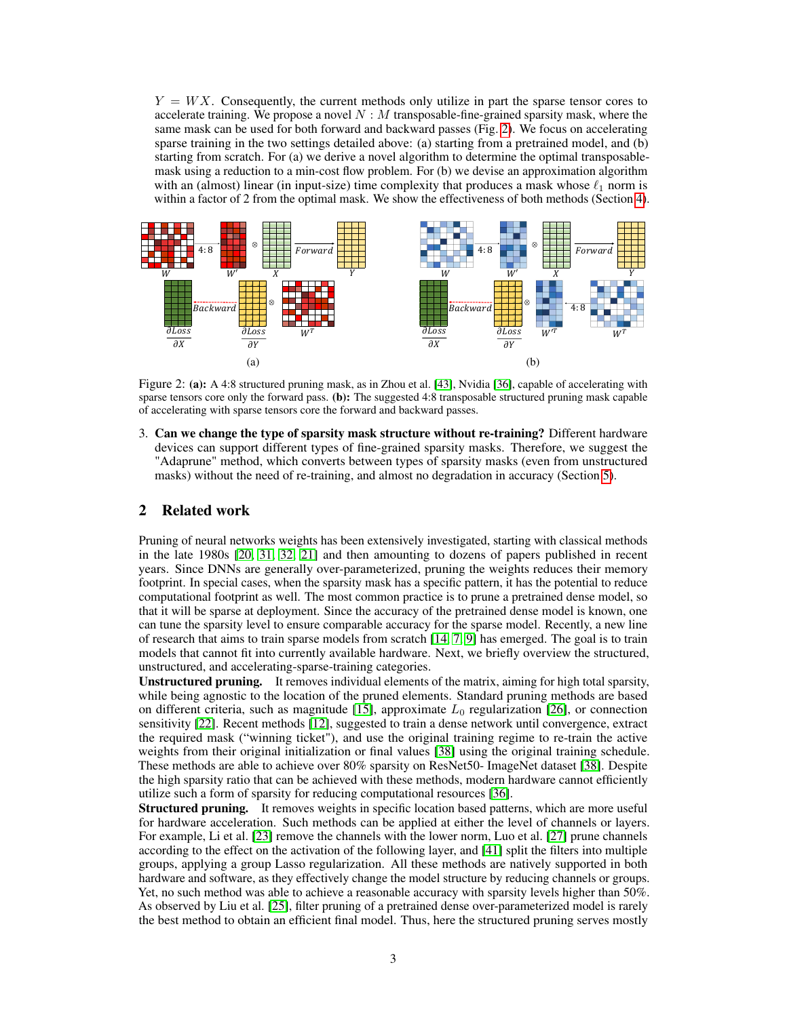$Y = W X$ . Consequently, the current methods only utilize in part the sparse tensor cores to accelerate training. We propose a novel  $N : M$  transposable-fine-grained sparsity mask, where the same mask can be used for both forward and backward passes (Fig. [2\)](#page-2-0). We focus on accelerating sparse training in the two settings detailed above: (a) starting from a pretrained model, and (b) starting from scratch. For (a) we derive a novel algorithm to determine the optimal transposablemask using a reduction to a min-cost flow problem. For (b) we devise an approximation algorithm with an (almost) linear (in input-size) time complexity that produces a mask whose  $\ell_1$  norm is within a factor of 2 from the optimal mask. We show the effectiveness of both methods (Section [4\)](#page-4-0).

<span id="page-2-0"></span>

Figure 2: (a): A 4:8 structured pruning mask, as in Zhou et al. [\[43\]](#page-11-4), Nvidia [\[36\]](#page-11-3), capable of accelerating with sparse tensors core only the forward pass. (b): The suggested 4:8 transposable structured pruning mask capable of accelerating with sparse tensors core the forward and backward passes.

3. Can we change the type of sparsity mask structure without re-training? Different hardware devices can support different types of fine-grained sparsity masks. Therefore, we suggest the "Adaprune" method, which converts between types of sparsity masks (even from unstructured masks) without the need of re-training, and almost no degradation in accuracy (Section [5\)](#page-7-0).

## 2 Related work

Pruning of neural networks weights has been extensively investigated, starting with classical methods in the late 1980s [\[20,](#page-10-4) [31,](#page-10-5) [32,](#page-11-5) [21\]](#page-10-6) and then amounting to dozens of papers published in recent years. Since DNNs are generally over-parameterized, pruning the weights reduces their memory footprint. In special cases, when the sparsity mask has a specific pattern, it has the potential to reduce computational footprint as well. The most common practice is to prune a pretrained dense model, so that it will be sparse at deployment. Since the accuracy of the pretrained dense model is known, one can tune the sparsity level to ensure comparable accuracy for the sparse model. Recently, a new line of research that aims to train sparse models from scratch [\[14,](#page-10-7) [7,](#page-9-5) [9\]](#page-9-4) has emerged. The goal is to train models that cannot fit into currently available hardware. Next, we briefly overview the structured, unstructured, and accelerating-sparse-training categories.

Unstructured pruning. It removes individual elements of the matrix, aiming for high total sparsity, while being agnostic to the location of the pruned elements. Standard pruning methods are based on different criteria, such as magnitude [\[15\]](#page-10-1), approximate  $L_0$  regularization [\[26\]](#page-10-8), or connection sensitivity [\[22\]](#page-10-9). Recent methods [\[12\]](#page-9-6), suggested to train a dense network until convergence, extract the required mask ("winning ticket"), and use the original training regime to re-train the active weights from their original initialization or final values [\[38\]](#page-11-6) using the original training schedule. These methods are able to achieve over 80% sparsity on ResNet50- ImageNet dataset [\[38\]](#page-11-6). Despite the high sparsity ratio that can be achieved with these methods, modern hardware cannot efficiently utilize such a form of sparsity for reducing computational resources [\[36\]](#page-11-3).

Structured pruning. It removes weights in specific location based patterns, which are more useful for hardware acceleration. Such methods can be applied at either the level of channels or layers. For example, Li et al. [\[23\]](#page-10-2) remove the channels with the lower norm, Luo et al. [\[27\]](#page-10-10) prune channels according to the effect on the activation of the following layer, and [\[41\]](#page-11-1) split the filters into multiple groups, applying a group Lasso regularization. All these methods are natively supported in both hardware and software, as they effectively change the model structure by reducing channels or groups. Yet, no such method was able to achieve a reasonable accuracy with sparsity levels higher than 50%. As observed by Liu et al. [\[25\]](#page-10-11), filter pruning of a pretrained dense over-parameterized model is rarely the best method to obtain an efficient final model. Thus, here the structured pruning serves mostly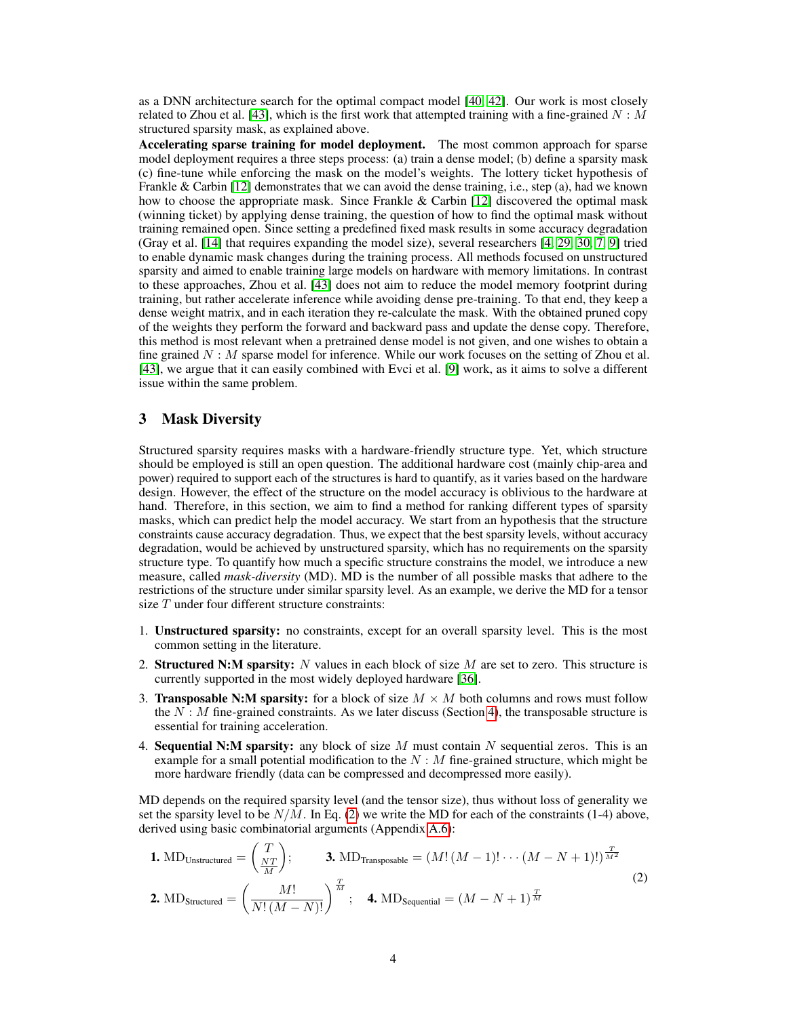as a DNN architecture search for the optimal compact model [\[40,](#page-11-7) [42\]](#page-11-8). Our work is most closely related to Zhou et al. [\[43\]](#page-11-4), which is the first work that attempted training with a fine-grained  $N : M$ structured sparsity mask, as explained above.

Accelerating sparse training for model deployment. The most common approach for sparse model deployment requires a three steps process: (a) train a dense model; (b) define a sparsity mask (c) fine-tune while enforcing the mask on the model's weights. The lottery ticket hypothesis of Frankle & Carbin [\[12\]](#page-9-6) demonstrates that we can avoid the dense training, i.e., step (a), had we known how to choose the appropriate mask. Since Frankle  $& Carbin [12]$  $& Carbin [12]$  discovered the optimal mask (winning ticket) by applying dense training, the question of how to find the optimal mask without training remained open. Since setting a predefined fixed mask results in some accuracy degradation (Gray et al. [\[14\]](#page-10-7) that requires expanding the model size), several researchers [\[4,](#page-9-7) [29,](#page-10-12) [30,](#page-10-13) [7,](#page-9-5) [9\]](#page-9-4) tried to enable dynamic mask changes during the training process. All methods focused on unstructured sparsity and aimed to enable training large models on hardware with memory limitations. In contrast to these approaches, Zhou et al. [\[43\]](#page-11-4) does not aim to reduce the model memory footprint during training, but rather accelerate inference while avoiding dense pre-training. To that end, they keep a dense weight matrix, and in each iteration they re-calculate the mask. With the obtained pruned copy of the weights they perform the forward and backward pass and update the dense copy. Therefore, this method is most relevant when a pretrained dense model is not given, and one wishes to obtain a fine grained  $N : M$  sparse model for inference. While our work focuses on the setting of Zhou et al. [\[43\]](#page-11-4), we argue that it can easily combined with Evci et al. [\[9\]](#page-9-4) work, as it aims to solve a different issue within the same problem.

### <span id="page-3-0"></span>3 Mask Diversity

Structured sparsity requires masks with a hardware-friendly structure type. Yet, which structure should be employed is still an open question. The additional hardware cost (mainly chip-area and power) required to support each of the structures is hard to quantify, as it varies based on the hardware design. However, the effect of the structure on the model accuracy is oblivious to the hardware at hand. Therefore, in this section, we aim to find a method for ranking different types of sparsity masks, which can predict help the model accuracy. We start from an hypothesis that the structure constraints cause accuracy degradation. Thus, we expect that the best sparsity levels, without accuracy degradation, would be achieved by unstructured sparsity, which has no requirements on the sparsity structure type. To quantify how much a specific structure constrains the model, we introduce a new measure, called *mask-diversity* (MD). MD is the number of all possible masks that adhere to the restrictions of the structure under similar sparsity level. As an example, we derive the MD for a tensor size T under four different structure constraints:

- 1. Unstructured sparsity: no constraints, except for an overall sparsity level. This is the most common setting in the literature.
- 2. Structured N:M sparsity: N values in each block of size  $M$  are set to zero. This structure is currently supported in the most widely deployed hardware [\[36\]](#page-11-3).
- 3. Transposable N:M sparsity: for a block of size  $M \times M$  both columns and rows must follow the  $N : M$  fine-grained constraints. As we later discuss (Section [4\)](#page-4-0), the transposable structure is essential for training acceleration.
- 4. Sequential N:M sparsity: any block of size  $M$  must contain  $N$  sequential zeros. This is an example for a small potential modification to the  $N : M$  fine-grained structure, which might be more hardware friendly (data can be compressed and decompressed more easily).

MD depends on the required sparsity level (and the tensor size), thus without loss of generality we set the sparsity level to be  $N/M$ . In Eq. [\(2\)](#page-3-1) we write the MD for each of the constraints (1-4) above, derived using basic combinatorial arguments (Appendix A.6):

<span id="page-3-1"></span>**1.** MD<sub>Unstructured</sub> = 
$$
\left(\frac{T}{\frac{NT}{M}}\right)
$$
; **3.** MD<sub>Transposable</sub> =  $(M!(M-1)! \cdots (M-N+1)!)^{\frac{T}{M^2}}$   
**2.** MD<sub>Structured</sub> =  $\left(\frac{M!}{N!(M-N)!}\right)^{\frac{T}{M}}$ ; **4.** MD<sub>Sequential</sub> =  $(M-N+1)^{\frac{T}{M}}$  (2)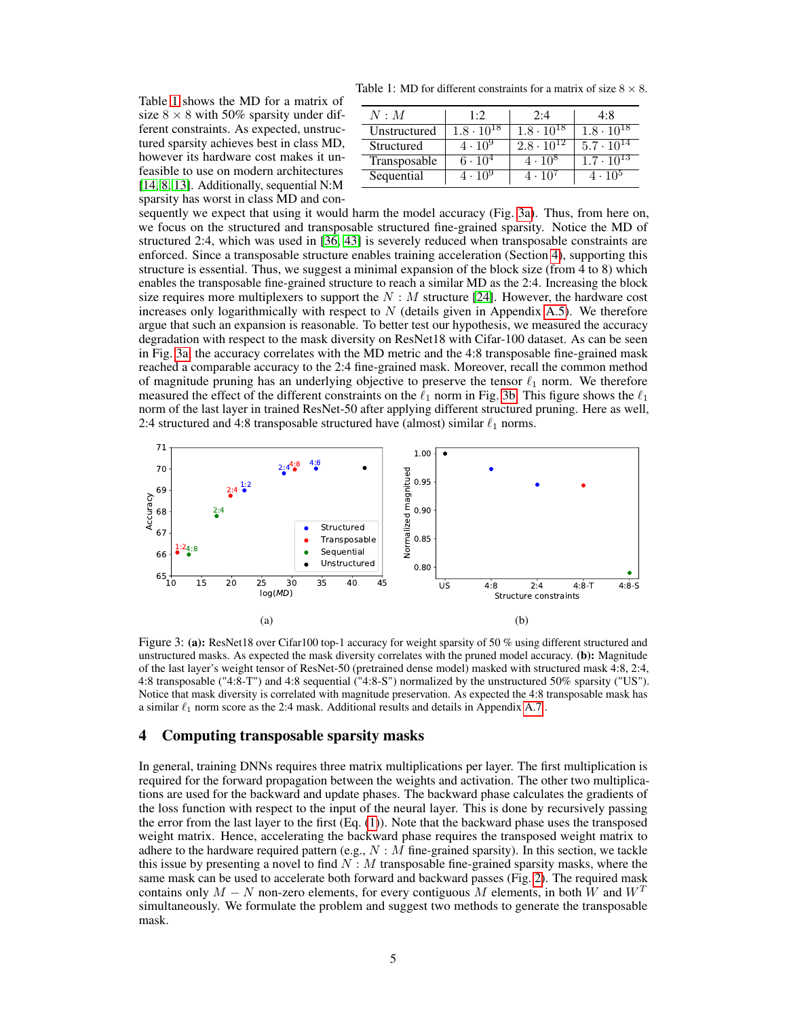<span id="page-4-1"></span>Table 1: MD for different constraints for a matrix of size  $8 \times 8$ .

Table [1](#page-4-1) shows the MD for a matrix of size  $8 \times 8$  with 50% sparsity under different constraints. As expected, unstructured sparsity achieves best in class MD, however its hardware cost makes it unfeasible to use on modern architectures [\[14,](#page-10-7) [8,](#page-9-8) [13\]](#page-9-9). Additionally, sequential N:M sparsity has worst in class MD and con-

| N : M        | 1·2                 | 2:4                 | 4:8                            |
|--------------|---------------------|---------------------|--------------------------------|
| Unstructured | $1.8 \cdot 10^{18}$ | $1.8 \cdot 10^{18}$ | $1.8 \cdot \overline{10^{18}}$ |
| Structured   | $4 \cdot 10^{9}$    | $2.8 \cdot 10^{12}$ | $5.7 \cdot 10^{14}$            |
| Transposable | $6 \cdot 10^{4}$    | $4 \cdot 10^8$      | $1.\overline{7 \cdot 10^{13}}$ |
| Sequential   | $4 \cdot 10^9$      | $4 \cdot 10^{7}$    | $4 \cdot 10^5$                 |

sequently we expect that using it would harm the model accuracy (Fig. [3a\)](#page-4-2). Thus, from here on, we focus on the structured and transposable structured fine-grained sparsity. Notice the MD of structured 2:4, which was used in [\[36,](#page-11-3) [43\]](#page-11-4) is severely reduced when transposable constraints are enforced. Since a transposable structure enables training acceleration (Section [4\)](#page-4-0), supporting this structure is essential. Thus, we suggest a minimal expansion of the block size (from 4 to 8) which enables the transposable fine-grained structure to reach a similar MD as the 2:4. Increasing the block size requires more multiplexers to support the  $N : M$  structure [\[24\]](#page-10-14). However, the hardware cost increases only logarithmically with respect to  $N$  (details given in Appendix A.5). We therefore argue that such an expansion is reasonable. To better test our hypothesis, we measured the accuracy degradation with respect to the mask diversity on ResNet18 with Cifar-100 dataset. As can be seen in Fig. [3a,](#page-4-2) the accuracy correlates with the MD metric and the 4:8 transposable fine-grained mask reached a comparable accuracy to the 2:4 fine-grained mask. Moreover, recall the common method of magnitude pruning has an underlying objective to preserve the tensor  $\ell_1$  norm. We therefore measured the effect of the different constraints on the  $\ell_1$  norm in Fig. [3b.](#page-4-2) This figure shows the  $\ell_1$ norm of the last layer in trained ResNet-50 after applying different structured pruning. Here as well, 2:4 structured and 4:8 transposable structured have (almost) similar  $\ell_1$  norms.

<span id="page-4-2"></span>

Figure 3: (a): ResNet18 over Cifar100 top-1 accuracy for weight sparsity of 50 % using different structured and unstructured masks. As expected the mask diversity correlates with the pruned model accuracy. (b): Magnitude of the last layer's weight tensor of ResNet-50 (pretrained dense model) masked with structured mask 4:8, 2:4, 4:8 transposable ("4:8-T") and 4:8 sequential ("4:8-S") normalized by the unstructured 50% sparsity ("US"). Notice that mask diversity is correlated with magnitude preservation. As expected the 4:8 transposable mask has a similar  $\ell_1$  norm score as the 2:4 mask. Additional results and details in Appendix A.7 .

## <span id="page-4-0"></span>4 Computing transposable sparsity masks

In general, training DNNs requires three matrix multiplications per layer. The first multiplication is required for the forward propagation between the weights and activation. The other two multiplications are used for the backward and update phases. The backward phase calculates the gradients of the loss function with respect to the input of the neural layer. This is done by recursively passing the error from the last layer to the first (Eq. [\(1\)](#page-1-1)). Note that the backward phase uses the transposed weight matrix. Hence, accelerating the backward phase requires the transposed weight matrix to adhere to the hardware required pattern (e.g.,  $N : M$  fine-grained sparsity). In this section, we tackle this issue by presenting a novel to find  $N : M$  transposable fine-grained sparsity masks, where the same mask can be used to accelerate both forward and backward passes (Fig. [2\)](#page-2-0). The required mask contains only  $M - N$  non-zero elements, for every contiguous M elements, in both W and  $W<sup>T</sup>$ simultaneously. We formulate the problem and suggest two methods to generate the transposable mask.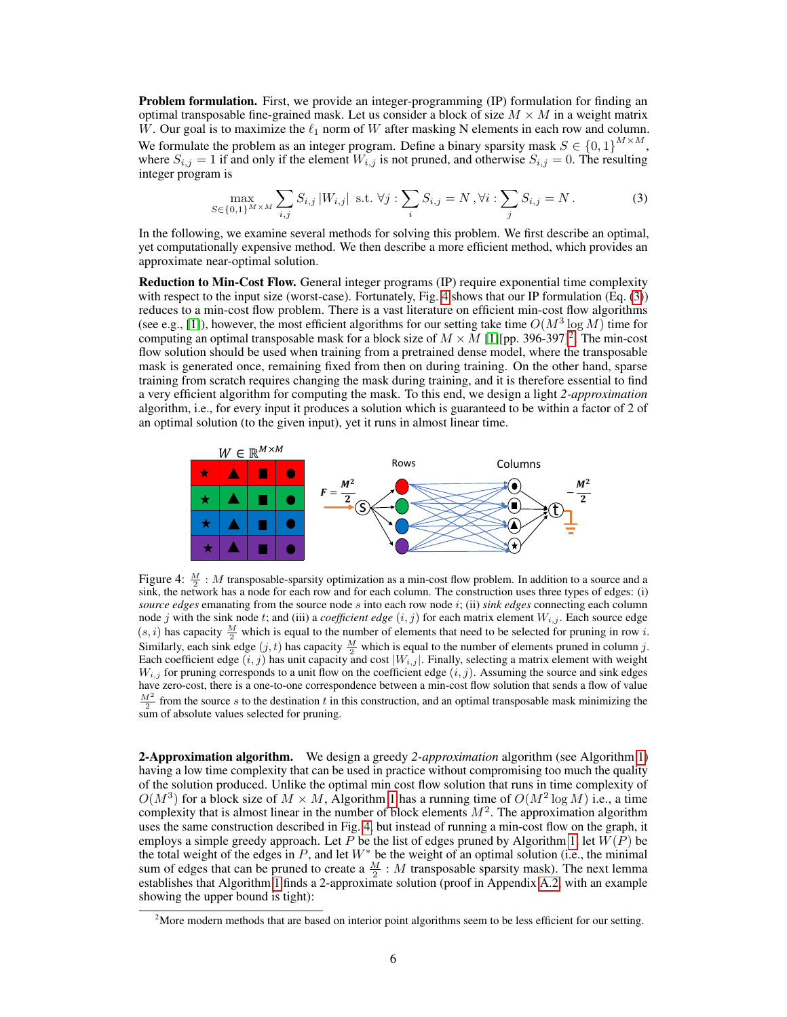**Problem formulation.** First, we provide an integer-programming (IP) formulation for finding an optimal transposable fine-grained mask. Let us consider a block of size  $M \times M$  in a weight matrix W. Our goal is to maximize the  $\ell_1$  norm of W after masking N elements in each row and column. We formulate the problem as an integer program. Define a binary sparsity mask  $S \in \{0,1\}^{M \times M}$ , where  $S_{i,j} = 1$  if and only if the element  $W_{i,j}$  is not pruned, and otherwise  $S_{i,j} = 0$ . The resulting integer program is

<span id="page-5-1"></span>
$$
\max_{S \in \{0,1\}^{M \times M}} \sum_{i,j} S_{i,j} |W_{i,j}| \text{ s.t. } \forall j : \sum_{i} S_{i,j} = N, \forall i : \sum_{j} S_{i,j} = N. \tag{3}
$$

In the following, we examine several methods for solving this problem. We first describe an optimal, yet computationally expensive method. We then describe a more efficient method, which provides an approximate near-optimal solution.

Reduction to Min-Cost Flow. General integer programs (IP) require exponential time complexity with respect to the input size (worst-case). Fortunately, Fig. [4](#page-5-0) shows that our IP formulation (Eq. [\(3\)](#page-5-1)) reduces to a min-cost flow problem. There is a vast literature on efficient min-cost flow algorithms (see e.g., [\[1\]](#page-9-10)), however, the most efficient algorithms for our setting take time  $O(M^3 \log M)$  time for computing an optimal transposable mask for a block size of  $M \times M$  [\[1\]](#page-9-10)[pp. 396-397]<sup>[2](#page-5-2)</sup>. The min-cost flow solution should be used when training from a pretrained dense model, where the transposable mask is generated once, remaining fixed from then on during training. On the other hand, sparse training from scratch requires changing the mask during training, and it is therefore essential to find a very efficient algorithm for computing the mask. To this end, we design a light *2-approximation* algorithm, i.e., for every input it produces a solution which is guaranteed to be within a factor of 2 of an optimal solution (to the given input), yet it runs in almost linear time.

<span id="page-5-0"></span>

Figure 4:  $\frac{M}{2}$  : M transposable-sparsity optimization as a min-cost flow problem. In addition to a source and a sink, the network has a node for each row and for each column. The construction uses three types of edges: (i) *source edges* emanating from the source node s into each row node i; (ii) *sink edges* connecting each column node j with the sink node t; and (iii) a *coefficient edge*  $(i, j)$  for each matrix element  $W_{i,j}$ . Each source edge  $(s, i)$  has capacity  $\frac{M}{2}$  which is equal to the number of elements that need to be selected for pruning in row *i*. Similarly, each sink edge  $(j, t)$  has capacity  $\frac{M}{2}$  which is equal to the number of elements pruned in column j.<br>Each coefficient edge  $(i, j)$  has unit capacity and cost  $|W_{i,j}|$ . Finally, selecting a matrix element wi  $W_{i,j}$  for pruning corresponds to a unit flow on the coefficient edge  $(i, j)$ . Assuming the source and sink edges have zero-cost, there is a one-to-one correspondence between a min-cost flow solution that sends a flow of value  $\frac{M^2}{2}$  from the source s to the destination t in this construction, and an optimal transposable mask minimizing the sum of absolute values selected for pruning.

2-Approximation algorithm. We design a greedy *2-approximation* algorithm (see Algorithm [1\)](#page-6-0) having a low time complexity that can be used in practice without compromising too much the quality of the solution produced. Unlike the optimal min cost flow solution that runs in time complexity of  $O(M^3)$  for a block size of  $M \times M$ , Algorithm [1](#page-6-0) has a running time of  $O(M^2 \log M)$  i.e., a time complexity that is almost linear in the number of block elements  $M^2$ . The approximation algorithm uses the same construction described in Fig. [4,](#page-5-0) but instead of running a min-cost flow on the graph, it employs a simple greedy approach. Let P be the list of edges pruned by Algorithm [1,](#page-6-0) let  $W(P)$  be the total weight of the edges in  $P$ , and let  $W^*$  be the weight of an optimal solution (i.e., the minimal sum of edges that can be pruned to create a  $\frac{M}{2}$  : M transposable sparsity mask). The next lemma establishes that Algorithm [1](#page-6-0) finds a 2-approximate solution (proof in Appendix A.2, with an example showing the upper bound is tight):

<span id="page-5-2"></span><sup>&</sup>lt;sup>2</sup>More modern methods that are based on interior point algorithms seem to be less efficient for our setting.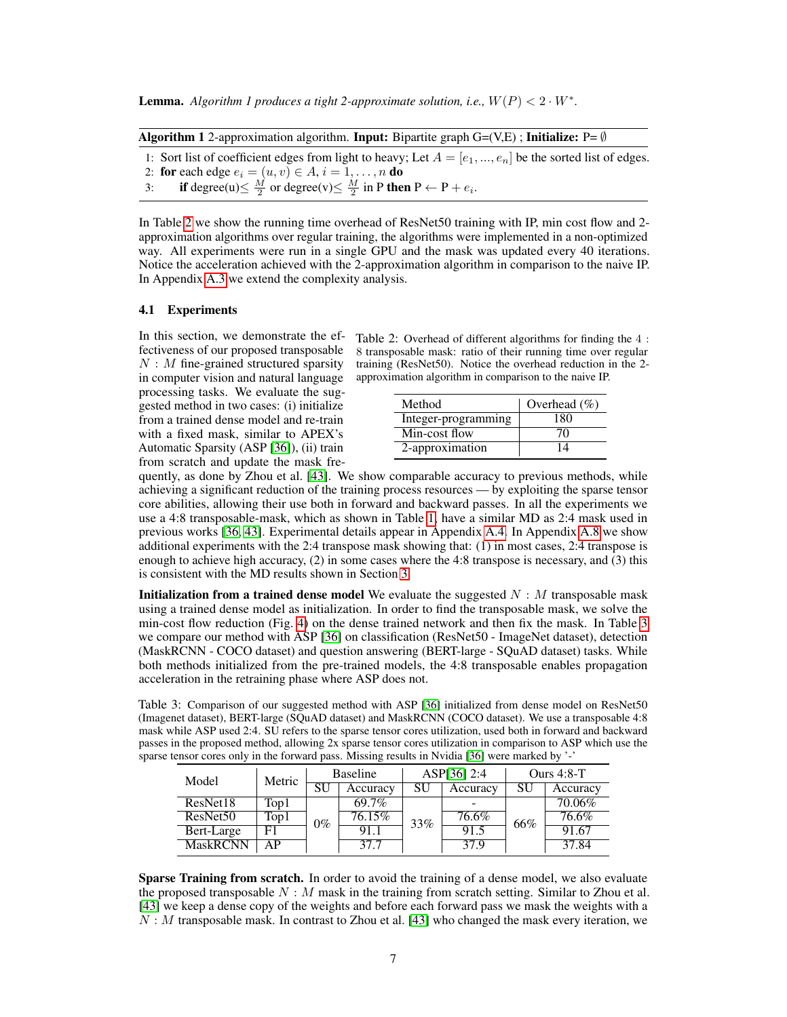**Lemma.** Algorithm 1 produces a tight 2-approximate solution, i.e.,  $W(P) < 2 \cdot W^*$ .

<span id="page-6-0"></span>

|  | <b>Algorithm 1</b> 2-approximation algorithm. <b>Input:</b> Bipartite graph $G=(V,E)$ ; <b>Initialize:</b> P= $\emptyset$ |  |  |  |  |  |  |
|--|---------------------------------------------------------------------------------------------------------------------------|--|--|--|--|--|--|
|--|---------------------------------------------------------------------------------------------------------------------------|--|--|--|--|--|--|

1: Sort list of coefficient edges from light to heavy; Let  $A = [e_1, ..., e_n]$  be the sorted list of edges. 2: for each edge  $e_i = (u, v) \in A$ ,  $i = 1, \ldots, n$  do

3: if degree(u) $\leq \frac{M}{2}$  or degree(v) $\leq \frac{M}{2}$  in P then  $P \leftarrow P + e_i$ .

In Table [2](#page-6-1) we show the running time overhead of ResNet50 training with IP, min cost flow and 2 approximation algorithms over regular training, the algorithms were implemented in a non-optimized way. All experiments were run in a single GPU and the mask was updated every 40 iterations. Notice the acceleration achieved with the 2-approximation algorithm in comparison to the naive IP. In Appendix A.3 we extend the complexity analysis.

## 4.1 Experiments

In this section, we demonstrate the effectiveness of our proposed transposable  $N : M$  fine-grained structured sparsity in computer vision and natural language processing tasks. We evaluate the suggested method in two cases: (i) initialize from a trained dense model and re-train with a fixed mask, similar to APEX's Automatic Sparsity (ASP [\[36\]](#page-11-3)), (ii) train from scratch and update the mask fre-

<span id="page-6-1"></span>Table 2: Overhead of different algorithms for finding the 4 : 8 transposable mask: ratio of their running time over regular training (ResNet50). Notice the overhead reduction in the 2 approximation algorithm in comparison to the naive IP.

| Method              | Overhead $(\% )$ |
|---------------------|------------------|
| Integer-programming | 180              |
| Min-cost flow       | 70               |
| 2-approximation     |                  |

quently, as done by Zhou et al. [\[43\]](#page-11-4). We show comparable accuracy to previous methods, while achieving a significant reduction of the training process resources — by exploiting the sparse tensor core abilities, allowing their use both in forward and backward passes. In all the experiments we use a 4:8 transposable-mask, which as shown in Table [1,](#page-4-1) have a similar MD as 2:4 mask used in previous works [\[36,](#page-11-3) [43\]](#page-11-4). Experimental details appear in Appendix A.4. In Appendix A.8 we show additional experiments with the 2:4 transpose mask showing that: (1) in most cases, 2:4 transpose is enough to achieve high accuracy, (2) in some cases where the 4:8 transpose is necessary, and (3) this is consistent with the MD results shown in Section [3.](#page-3-0)

**Initialization from a trained dense model** We evaluate the suggested  $N : M$  transposable mask using a trained dense model as initialization. In order to find the transposable mask, we solve the min-cost flow reduction (Fig. [4\)](#page-5-0) on the dense trained network and then fix the mask. In Table [3](#page-6-2) we compare our method with ASP [\[36\]](#page-11-3) on classification (ResNet50 - ImageNet dataset), detection (MaskRCNN - COCO dataset) and question answering (BERT-large - SQuAD dataset) tasks. While both methods initialized from the pre-trained models, the 4:8 transposable enables propagation acceleration in the retraining phase where ASP does not.

<span id="page-6-2"></span>Table 3: Comparison of our suggested method with ASP [\[36\]](#page-11-3) initialized from dense model on ResNet50 (Imagenet dataset), BERT-large (SQuAD dataset) and MaskRCNN (COCO dataset). We use a transposable 4:8 mask while ASP used 2:4. SU refers to the sparse tensor cores utilization, used both in forward and backward passes in the proposed method, allowing 2x sparse tensor cores utilization in comparison to ASP which use the sparse tensor cores only in the forward pass. Missing results in Nvidia [\[36\]](#page-11-3) were marked by '-'

| Model                | Metric | <b>Baseline</b> |          | ASP[36] 2:4 |          | Ours $4:8-T$ |                    |
|----------------------|--------|-----------------|----------|-------------|----------|--------------|--------------------|
|                      |        |                 | Accuracy | SU          | Accuracy | SU           | Accuracy           |
| ResNet18             | Top1   |                 | 69.7%    |             |          |              | 70.06%             |
| ResNet <sub>50</sub> | Top1   | $0\%$           | 76.15%   | 33%         | $76.6\%$ | 66%          | $76.6\%$           |
| Bert-Large           | F1     |                 | 91.1     |             | 91.5     |              | 91.67              |
| <b>MaskRCNN</b>      | ΑP     |                 | 37.7     |             | 37.9     |              | $37.\overline{84}$ |

**Sparse Training from scratch.** In order to avoid the training of a dense model, we also evaluate the proposed transposable  $N : M$  mask in the training from scratch setting. Similar to Zhou et al. [\[43\]](#page-11-4) we keep a dense copy of the weights and before each forward pass we mask the weights with a  $N : M$  transposable mask. In contrast to Zhou et al. [\[43\]](#page-11-4) who changed the mask every iteration, we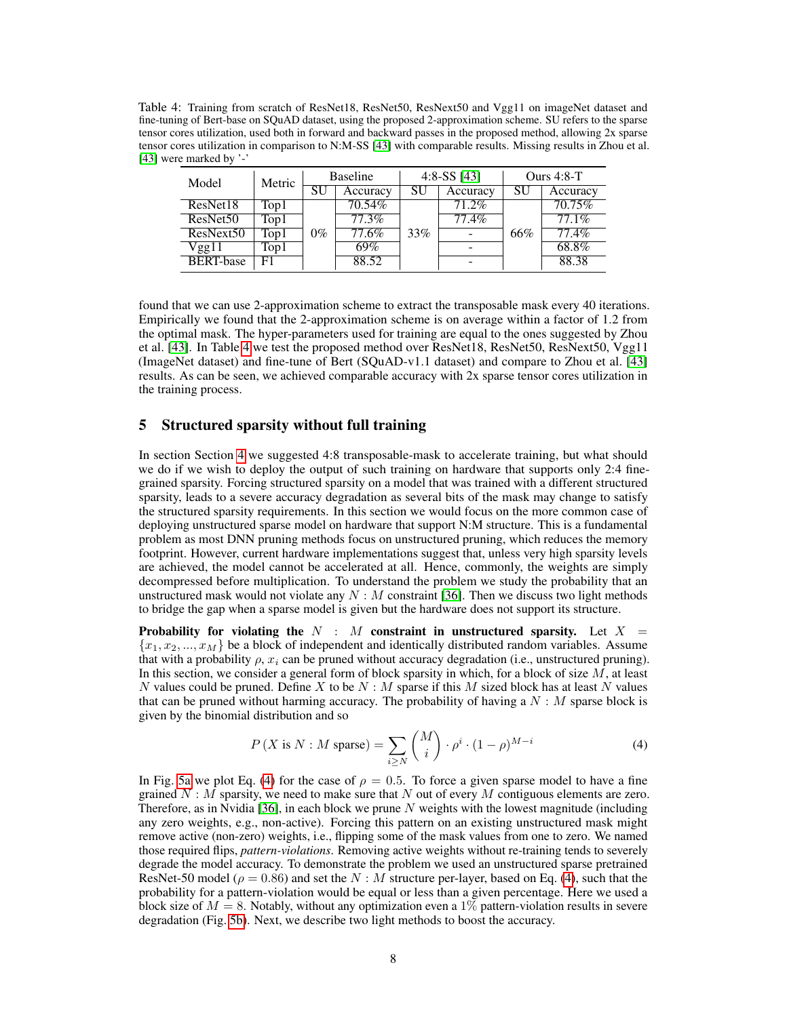<span id="page-7-1"></span>Table 4: Training from scratch of ResNet18, ResNet50, ResNext50 and Vgg11 on imageNet dataset and fine-tuning of Bert-base on SQuAD dataset, using the proposed 2-approximation scheme. SU refers to the sparse tensor cores utilization, used both in forward and backward passes in the proposed method, allowing 2x sparse tensor cores utilization in comparison to N:M-SS [\[43\]](#page-11-4) with comparable results. Missing results in Zhou et al. [\[43\]](#page-11-4) were marked by '-'

| Model                | Metric | <b>Baseline</b> |           | 4:8-SS $[43]$ |          | Ours $4:8-T$ |          |
|----------------------|--------|-----------------|-----------|---------------|----------|--------------|----------|
|                      |        | SU              | Accuracy  | SU            | Accuracy | SU           | Accuracy |
| ResNet18             | Top1   |                 | $70.54\%$ |               | 71.2%    |              | 70.75%   |
| ResNet <sub>50</sub> | Top1   |                 | 77.3%     |               | 77.4%    |              | 77.1%    |
| ResNext50            | Top1   | $0\%$           | 77.6%     | 33%           |          | 66%          | 77.4%    |
| Vgg11                | Top1   |                 | 69%       |               |          |              | 68.8%    |
| <b>BERT-base</b>     | F1     |                 | 88.52     |               |          |              | 88.38    |

found that we can use 2-approximation scheme to extract the transposable mask every 40 iterations. Empirically we found that the 2-approximation scheme is on average within a factor of 1.2 from the optimal mask. The hyper-parameters used for training are equal to the ones suggested by Zhou et al. [\[43\]](#page-11-4). In Table [4](#page-7-1) we test the proposed method over ResNet18, ResNet50, ResNext50, Vgg11 (ImageNet dataset) and fine-tune of Bert (SQuAD-v1.1 dataset) and compare to Zhou et al. [\[43\]](#page-11-4) results. As can be seen, we achieved comparable accuracy with 2x sparse tensor cores utilization in the training process.

# <span id="page-7-0"></span>5 Structured sparsity without full training

In section Section [4](#page-4-0) we suggested 4:8 transposable-mask to accelerate training, but what should we do if we wish to deploy the output of such training on hardware that supports only 2:4 finegrained sparsity. Forcing structured sparsity on a model that was trained with a different structured sparsity, leads to a severe accuracy degradation as several bits of the mask may change to satisfy the structured sparsity requirements. In this section we would focus on the more common case of deploying unstructured sparse model on hardware that support N:M structure. This is a fundamental problem as most DNN pruning methods focus on unstructured pruning, which reduces the memory footprint. However, current hardware implementations suggest that, unless very high sparsity levels are achieved, the model cannot be accelerated at all. Hence, commonly, the weights are simply decompressed before multiplication. To understand the problem we study the probability that an unstructured mask would not violate any  $N : M$  constraint [\[36\]](#page-11-3). Then we discuss two light methods to bridge the gap when a sparse model is given but the hardware does not support its structure.

Probability for violating the N : M constraint in unstructured sparsity. Let  $X =$  ${x_1, x_2, ..., x_M}$  be a block of independent and identically distributed random variables. Assume that with a probability  $\rho$ ,  $x_i$  can be pruned without accuracy degradation (i.e., unstructured pruning). In this section, we consider a general form of block sparsity in which, for a block of size  $M$ , at least N values could be pruned. Define X to be  $N : M$  sparse if this M sized block has at least N values that can be pruned without harming accuracy. The probability of having a  $N : M$  sparse block is given by the binomial distribution and so

<span id="page-7-2"></span>
$$
P(X \text{ is } N: M \text{ sparse}) = \sum_{i \ge N} {M \choose i} \cdot \rho^i \cdot (1 - \rho)^{M - i}
$$
 (4)

In Fig. [5a](#page-8-0) we plot Eq. [\(4\)](#page-7-2) for the case of  $\rho = 0.5$ . To force a given sparse model to have a fine grained  $N : M$  sparsity, we need to make sure that N out of every M contiguous elements are zero. Therefore, as in Nvidia [\[36\]](#page-11-3), in each block we prune N weights with the lowest magnitude (including any zero weights, e.g., non-active). Forcing this pattern on an existing unstructured mask might remove active (non-zero) weights, i.e., flipping some of the mask values from one to zero. We named those required flips, *pattern-violations*. Removing active weights without re-training tends to severely degrade the model accuracy. To demonstrate the problem we used an unstructured sparse pretrained ResNet-50 model ( $\rho = 0.86$ ) and set the N : M structure per-layer, based on Eq. [\(4\)](#page-7-2), such that the probability for a pattern-violation would be equal or less than a given percentage. Here we used a block size of  $M = 8$ . Notably, without any optimization even a 1% pattern-violation results in severe degradation (Fig. [5b\)](#page-8-0). Next, we describe two light methods to boost the accuracy.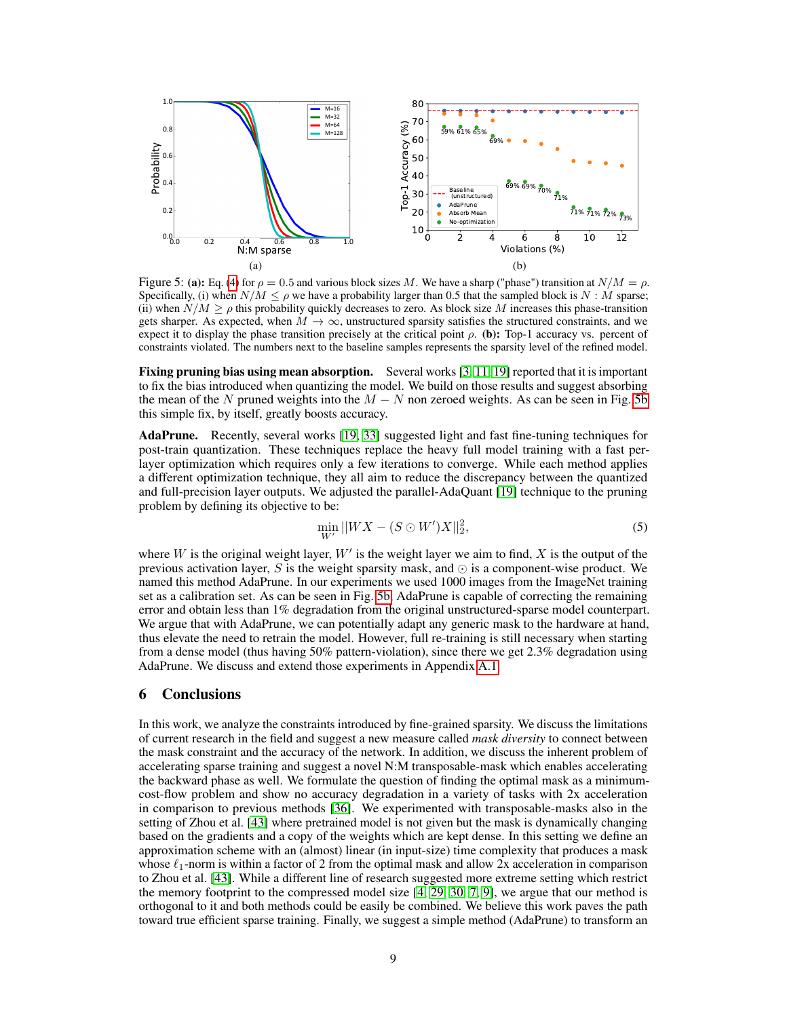<span id="page-8-0"></span>

Figure 5: (a): Eq. [\(4\)](#page-7-2) for  $\rho = 0.5$  and various block sizes M. We have a sharp ("phase") transition at  $N/M = \rho$ . Specifically, (i) when  $N/M \le \rho$  we have a probability larger than 0.5 that the sampled block is N : M sparse; (ii) when  $N/M \ge \rho$  this probability quickly decreases to zero. As block size M increases this phase-transition gets sharper. As expected, when  $M \to \infty$ , unstructured sparsity satisfies the structured constraints, and we expect it to display the phase transition precisely at the critical point  $\rho$ . (b): Top-1 accuracy vs. percent of constraints violated. The numbers next to the baseline samples represents the sparsity level of the refined model.

Fixing pruning bias using mean absorption. Several works [\[3,](#page-9-11) [11,](#page-9-12) [19\]](#page-10-15) reported that it is important to fix the bias introduced when quantizing the model. We build on those results and suggest absorbing the mean of the N pruned weights into the  $M - N$  non zeroed weights. As can be seen in Fig. [5b](#page-8-0) this simple fix, by itself, greatly boosts accuracy.

AdaPrune. Recently, several works [\[19,](#page-10-15) [33\]](#page-11-9) suggested light and fast fine-tuning techniques for post-train quantization. These techniques replace the heavy full model training with a fast perlayer optimization which requires only a few iterations to converge. While each method applies a different optimization technique, they all aim to reduce the discrepancy between the quantized and full-precision layer outputs. We adjusted the parallel-AdaQuant [\[19\]](#page-10-15) technique to the pruning problem by defining its objective to be:

$$
\min_{W'} ||WX - (S \odot W')X||_2^2,\tag{5}
$$

where W is the original weight layer,  $W'$  is the weight layer we aim to find, X is the output of the previous activation layer, S is the weight sparsity mask, and  $\odot$  is a component-wise product. We named this method AdaPrune. In our experiments we used 1000 images from the ImageNet training set as a calibration set. As can be seen in Fig. [5b,](#page-8-0) AdaPrune is capable of correcting the remaining error and obtain less than 1% degradation from the original unstructured-sparse model counterpart. We argue that with AdaPrune, we can potentially adapt any generic mask to the hardware at hand, thus elevate the need to retrain the model. However, full re-training is still necessary when starting from a dense model (thus having 50% pattern-violation), since there we get 2.3% degradation using AdaPrune. We discuss and extend those experiments in Appendix A.1.

### <span id="page-8-1"></span>6 Conclusions

In this work, we analyze the constraints introduced by fine-grained sparsity. We discuss the limitations of current research in the field and suggest a new measure called *mask diversity* to connect between the mask constraint and the accuracy of the network. In addition, we discuss the inherent problem of accelerating sparse training and suggest a novel N:M transposable-mask which enables accelerating the backward phase as well. We formulate the question of finding the optimal mask as a minimumcost-flow problem and show no accuracy degradation in a variety of tasks with 2x acceleration in comparison to previous methods [\[36\]](#page-11-3). We experimented with transposable-masks also in the setting of Zhou et al. [\[43\]](#page-11-4) where pretrained model is not given but the mask is dynamically changing based on the gradients and a copy of the weights which are kept dense. In this setting we define an approximation scheme with an (almost) linear (in input-size) time complexity that produces a mask whose  $\ell_1$ -norm is within a factor of 2 from the optimal mask and allow 2x acceleration in comparison to Zhou et al. [\[43\]](#page-11-4). While a different line of research suggested more extreme setting which restrict the memory footprint to the compressed model size  $[4, 29, 30, 7, 9]$  $[4, 29, 30, 7, 9]$  $[4, 29, 30, 7, 9]$  $[4, 29, 30, 7, 9]$  $[4, 29, 30, 7, 9]$  $[4, 29, 30, 7, 9]$  $[4, 29, 30, 7, 9]$  $[4, 29, 30, 7, 9]$  $[4, 29, 30, 7, 9]$ , we argue that our method is orthogonal to it and both methods could be easily be combined. We believe this work paves the path toward true efficient sparse training. Finally, we suggest a simple method (AdaPrune) to transform an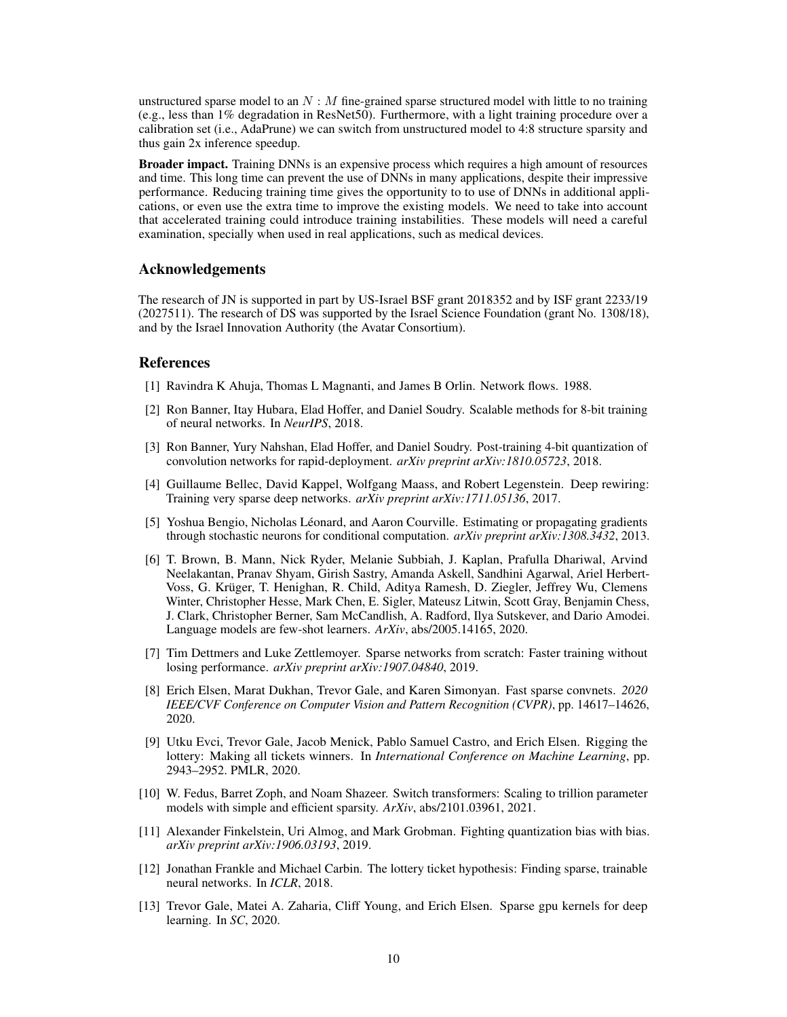unstructured sparse model to an  $N : M$  fine-grained sparse structured model with little to no training (e.g., less than 1% degradation in ResNet50). Furthermore, with a light training procedure over a calibration set (i.e., AdaPrune) we can switch from unstructured model to 4:8 structure sparsity and thus gain 2x inference speedup.

Broader impact. Training DNNs is an expensive process which requires a high amount of resources and time. This long time can prevent the use of DNNs in many applications, despite their impressive performance. Reducing training time gives the opportunity to to use of DNNs in additional applications, or even use the extra time to improve the existing models. We need to take into account that accelerated training could introduce training instabilities. These models will need a careful examination, specially when used in real applications, such as medical devices.

#### Acknowledgements

The research of JN is supported in part by US-Israel BSF grant 2018352 and by ISF grant 2233/19 (2027511). The research of DS was supported by the Israel Science Foundation (grant No. 1308/18), and by the Israel Innovation Authority (the Avatar Consortium).

#### References

- <span id="page-9-10"></span>[1] Ravindra K Ahuja, Thomas L Magnanti, and James B Orlin. Network flows. 1988.
- <span id="page-9-2"></span>[2] Ron Banner, Itay Hubara, Elad Hoffer, and Daniel Soudry. Scalable methods for 8-bit training of neural networks. In *NeurIPS*, 2018.
- <span id="page-9-11"></span>[3] Ron Banner, Yury Nahshan, Elad Hoffer, and Daniel Soudry. Post-training 4-bit quantization of convolution networks for rapid-deployment. *arXiv preprint arXiv:1810.05723*, 2018.
- <span id="page-9-7"></span>[4] Guillaume Bellec, David Kappel, Wolfgang Maass, and Robert Legenstein. Deep rewiring: Training very sparse deep networks. *arXiv preprint arXiv:1711.05136*, 2017.
- <span id="page-9-3"></span>[5] Yoshua Bengio, Nicholas Léonard, and Aaron Courville. Estimating or propagating gradients through stochastic neurons for conditional computation. *arXiv preprint arXiv:1308.3432*, 2013.
- <span id="page-9-1"></span>[6] T. Brown, B. Mann, Nick Ryder, Melanie Subbiah, J. Kaplan, Prafulla Dhariwal, Arvind Neelakantan, Pranav Shyam, Girish Sastry, Amanda Askell, Sandhini Agarwal, Ariel Herbert-Voss, G. Krüger, T. Henighan, R. Child, Aditya Ramesh, D. Ziegler, Jeffrey Wu, Clemens Winter, Christopher Hesse, Mark Chen, E. Sigler, Mateusz Litwin, Scott Gray, Benjamin Chess, J. Clark, Christopher Berner, Sam McCandlish, A. Radford, Ilya Sutskever, and Dario Amodei. Language models are few-shot learners. *ArXiv*, abs/2005.14165, 2020.
- <span id="page-9-5"></span>[7] Tim Dettmers and Luke Zettlemoyer. Sparse networks from scratch: Faster training without losing performance. *arXiv preprint arXiv:1907.04840*, 2019.
- <span id="page-9-8"></span>[8] Erich Elsen, Marat Dukhan, Trevor Gale, and Karen Simonyan. Fast sparse convnets. *2020 IEEE/CVF Conference on Computer Vision and Pattern Recognition (CVPR)*, pp. 14617–14626, 2020.
- <span id="page-9-4"></span>[9] Utku Evci, Trevor Gale, Jacob Menick, Pablo Samuel Castro, and Erich Elsen. Rigging the lottery: Making all tickets winners. In *International Conference on Machine Learning*, pp. 2943–2952. PMLR, 2020.
- <span id="page-9-0"></span>[10] W. Fedus, Barret Zoph, and Noam Shazeer. Switch transformers: Scaling to trillion parameter models with simple and efficient sparsity. *ArXiv*, abs/2101.03961, 2021.
- <span id="page-9-12"></span>[11] Alexander Finkelstein, Uri Almog, and Mark Grobman. Fighting quantization bias with bias. *arXiv preprint arXiv:1906.03193*, 2019.
- <span id="page-9-6"></span>[12] Jonathan Frankle and Michael Carbin. The lottery ticket hypothesis: Finding sparse, trainable neural networks. In *ICLR*, 2018.
- <span id="page-9-9"></span>[13] Trevor Gale, Matei A. Zaharia, Cliff Young, and Erich Elsen. Sparse gpu kernels for deep learning. In *SC*, 2020.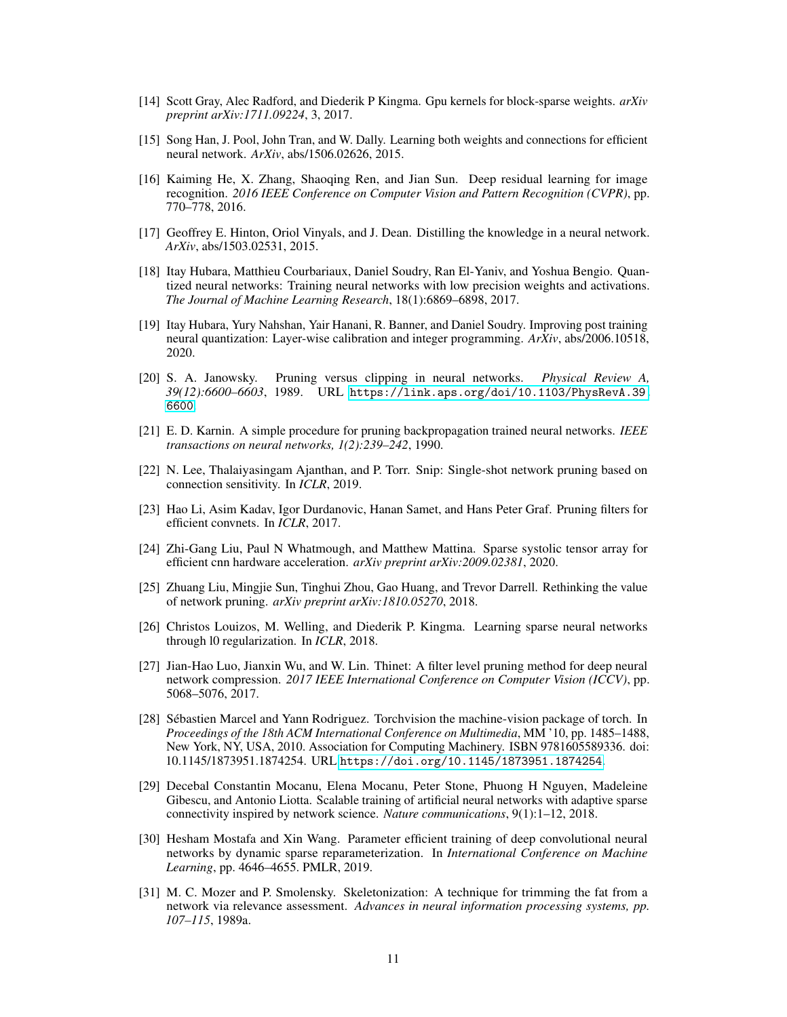- <span id="page-10-7"></span>[14] Scott Gray, Alec Radford, and Diederik P Kingma. Gpu kernels for block-sparse weights. *arXiv preprint arXiv:1711.09224*, 3, 2017.
- <span id="page-10-1"></span>[15] Song Han, J. Pool, John Tran, and W. Dally. Learning both weights and connections for efficient neural network. *ArXiv*, abs/1506.02626, 2015.
- [16] Kaiming He, X. Zhang, Shaoqing Ren, and Jian Sun. Deep residual learning for image recognition. *2016 IEEE Conference on Computer Vision and Pattern Recognition (CVPR)*, pp. 770–778, 2016.
- <span id="page-10-0"></span>[17] Geoffrey E. Hinton, Oriol Vinyals, and J. Dean. Distilling the knowledge in a neural network. *ArXiv*, abs/1503.02531, 2015.
- <span id="page-10-3"></span>[18] Itay Hubara, Matthieu Courbariaux, Daniel Soudry, Ran El-Yaniv, and Yoshua Bengio. Quantized neural networks: Training neural networks with low precision weights and activations. *The Journal of Machine Learning Research*, 18(1):6869–6898, 2017.
- <span id="page-10-15"></span>[19] Itay Hubara, Yury Nahshan, Yair Hanani, R. Banner, and Daniel Soudry. Improving post training neural quantization: Layer-wise calibration and integer programming. *ArXiv*, abs/2006.10518, 2020.
- <span id="page-10-4"></span>[20] S. A. Janowsky. Pruning versus clipping in neural networks. *Physical Review A, 39(12):6600–6603*, 1989. URL [https://link.aps.org/doi/10.1103/PhysRevA.39.](https://link.aps.org/doi/10.1103/PhysRevA.39.6600) [6600](https://link.aps.org/doi/10.1103/PhysRevA.39.6600).
- <span id="page-10-6"></span>[21] E. D. Karnin. A simple procedure for pruning backpropagation trained neural networks. *IEEE transactions on neural networks, 1(2):239–242*, 1990.
- <span id="page-10-9"></span>[22] N. Lee, Thalaiyasingam Ajanthan, and P. Torr. Snip: Single-shot network pruning based on connection sensitivity. In *ICLR*, 2019.
- <span id="page-10-2"></span>[23] Hao Li, Asim Kadav, Igor Durdanovic, Hanan Samet, and Hans Peter Graf. Pruning filters for efficient convnets. In *ICLR*, 2017.
- <span id="page-10-14"></span>[24] Zhi-Gang Liu, Paul N Whatmough, and Matthew Mattina. Sparse systolic tensor array for efficient cnn hardware acceleration. *arXiv preprint arXiv:2009.02381*, 2020.
- <span id="page-10-11"></span>[25] Zhuang Liu, Mingjie Sun, Tinghui Zhou, Gao Huang, and Trevor Darrell. Rethinking the value of network pruning. *arXiv preprint arXiv:1810.05270*, 2018.
- <span id="page-10-8"></span>[26] Christos Louizos, M. Welling, and Diederik P. Kingma. Learning sparse neural networks through l0 regularization. In *ICLR*, 2018.
- <span id="page-10-10"></span>[27] Jian-Hao Luo, Jianxin Wu, and W. Lin. Thinet: A filter level pruning method for deep neural network compression. *2017 IEEE International Conference on Computer Vision (ICCV)*, pp. 5068–5076, 2017.
- [28] Sébastien Marcel and Yann Rodriguez. Torchvision the machine-vision package of torch. In *Proceedings of the 18th ACM International Conference on Multimedia*, MM '10, pp. 1485–1488, New York, NY, USA, 2010. Association for Computing Machinery. ISBN 9781605589336. doi: 10.1145/1873951.1874254. URL <https://doi.org/10.1145/1873951.1874254>.
- <span id="page-10-12"></span>[29] Decebal Constantin Mocanu, Elena Mocanu, Peter Stone, Phuong H Nguyen, Madeleine Gibescu, and Antonio Liotta. Scalable training of artificial neural networks with adaptive sparse connectivity inspired by network science. *Nature communications*, 9(1):1–12, 2018.
- <span id="page-10-13"></span>[30] Hesham Mostafa and Xin Wang. Parameter efficient training of deep convolutional neural networks by dynamic sparse reparameterization. In *International Conference on Machine Learning*, pp. 4646–4655. PMLR, 2019.
- <span id="page-10-5"></span>[31] M. C. Mozer and P. Smolensky. Skeletonization: A technique for trimming the fat from a network via relevance assessment. *Advances in neural information processing systems, pp. 107–115*, 1989a.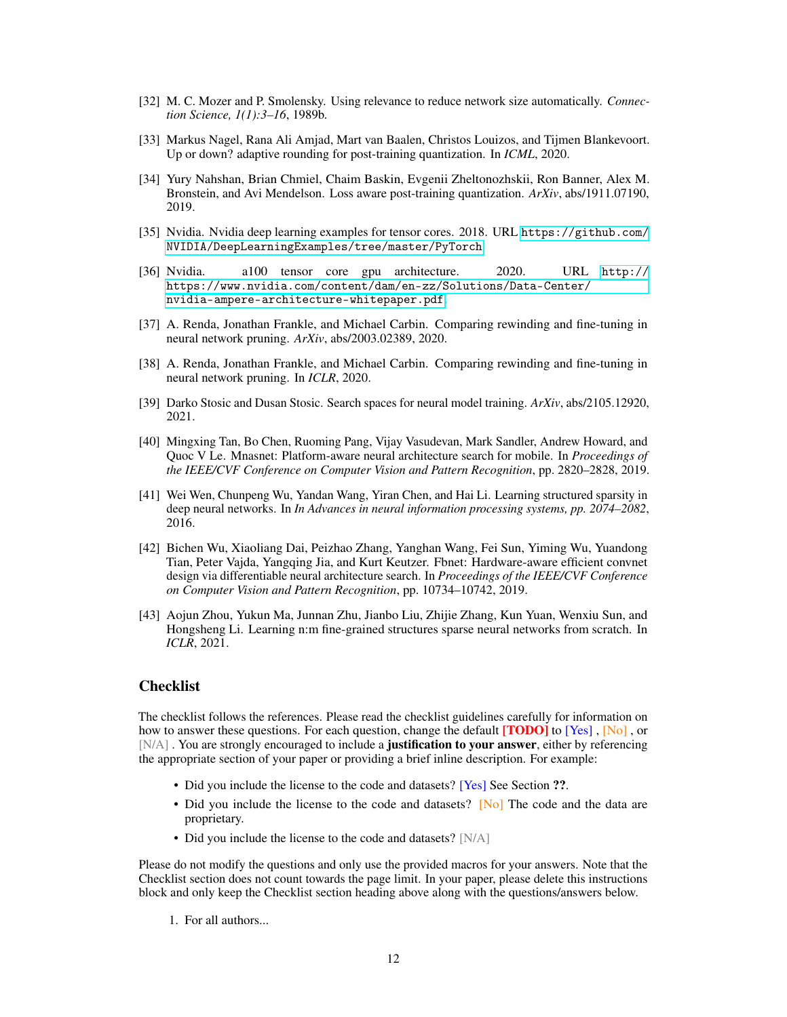- <span id="page-11-5"></span>[32] M. C. Mozer and P. Smolensky. Using relevance to reduce network size automatically. *Connection Science, 1(1):3–16*, 1989b.
- <span id="page-11-9"></span>[33] Markus Nagel, Rana Ali Amjad, Mart van Baalen, Christos Louizos, and Tijmen Blankevoort. Up or down? adaptive rounding for post-training quantization. In *ICML*, 2020.
- <span id="page-11-0"></span>[34] Yury Nahshan, Brian Chmiel, Chaim Baskin, Evgenii Zheltonozhskii, Ron Banner, Alex M. Bronstein, and Avi Mendelson. Loss aware post-training quantization. *ArXiv*, abs/1911.07190, 2019.
- [35] Nvidia. Nvidia deep learning examples for tensor cores. 2018. URL [https://github.com/](https://github.com/NVIDIA/DeepLearningExamples/tree/master/PyTorch) [NVIDIA/DeepLearningExamples/tree/master/PyTorch](https://github.com/NVIDIA/DeepLearningExamples/tree/master/PyTorch).
- <span id="page-11-3"></span>[36] Nvidia. a100 tensor core gpu architecture. 2020. URL [http://](http://https://www.nvidia.com/content/dam/en-zz/Solutions/Data-Center/nvidia-ampere-architecture-whitepaper.pdf) [https://www.nvidia.com/content/dam/en-zz/Solutions/Data-Center/](http://https://www.nvidia.com/content/dam/en-zz/Solutions/Data-Center/nvidia-ampere-architecture-whitepaper.pdf) [nvidia-ampere-architecture-whitepaper.pdf](http://https://www.nvidia.com/content/dam/en-zz/Solutions/Data-Center/nvidia-ampere-architecture-whitepaper.pdf).
- <span id="page-11-2"></span>[37] A. Renda, Jonathan Frankle, and Michael Carbin. Comparing rewinding and fine-tuning in neural network pruning. *ArXiv*, abs/2003.02389, 2020.
- <span id="page-11-6"></span>[38] A. Renda, Jonathan Frankle, and Michael Carbin. Comparing rewinding and fine-tuning in neural network pruning. In *ICLR*, 2020.
- [39] Darko Stosic and Dusan Stosic. Search spaces for neural model training. *ArXiv*, abs/2105.12920, 2021.
- <span id="page-11-7"></span>[40] Mingxing Tan, Bo Chen, Ruoming Pang, Vijay Vasudevan, Mark Sandler, Andrew Howard, and Quoc V Le. Mnasnet: Platform-aware neural architecture search for mobile. In *Proceedings of the IEEE/CVF Conference on Computer Vision and Pattern Recognition*, pp. 2820–2828, 2019.
- <span id="page-11-1"></span>[41] Wei Wen, Chunpeng Wu, Yandan Wang, Yiran Chen, and Hai Li. Learning structured sparsity in deep neural networks. In *In Advances in neural information processing systems, pp. 2074–2082*, 2016.
- <span id="page-11-8"></span>[42] Bichen Wu, Xiaoliang Dai, Peizhao Zhang, Yanghan Wang, Fei Sun, Yiming Wu, Yuandong Tian, Peter Vajda, Yangqing Jia, and Kurt Keutzer. Fbnet: Hardware-aware efficient convnet design via differentiable neural architecture search. In *Proceedings of the IEEE/CVF Conference on Computer Vision and Pattern Recognition*, pp. 10734–10742, 2019.
- <span id="page-11-4"></span>[43] Aojun Zhou, Yukun Ma, Junnan Zhu, Jianbo Liu, Zhijie Zhang, Kun Yuan, Wenxiu Sun, and Hongsheng Li. Learning n:m fine-grained structures sparse neural networks from scratch. In *ICLR*, 2021.

# **Checklist**

The checklist follows the references. Please read the checklist guidelines carefully for information on how to answer these questions. For each question, change the default **[TODO]** to [Yes], [No], or [N/A]. You are strongly encouraged to include a **justification to your answer**, either by referencing the appropriate section of your paper or providing a brief inline description. For example:

- Did you include the license to the code and datasets? [Yes] See Section ??.
- Did you include the license to the code and datasets? [No] The code and the data are proprietary.
- Did you include the license to the code and datasets? [N/A]

Please do not modify the questions and only use the provided macros for your answers. Note that the Checklist section does not count towards the page limit. In your paper, please delete this instructions block and only keep the Checklist section heading above along with the questions/answers below.

1. For all authors...